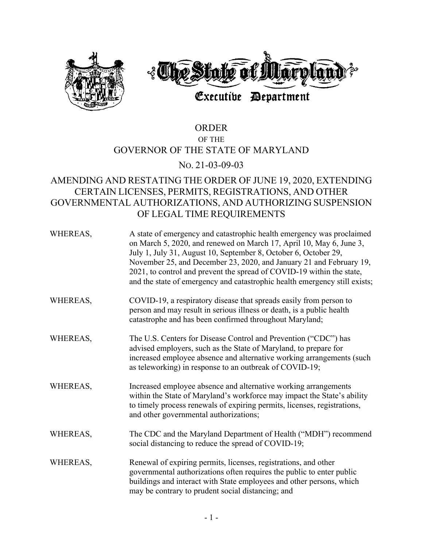

## ORDER OF THE GOVERNOR OF THE STATE OF MARYLAND

## NO. 21-03-09-03

## AMENDING AND RESTATING THE ORDER OF JUNE 19, 2020, EXTENDING CERTAIN LICENSES, PERMITS, REGISTRATIONS, AND OTHER GOVERNMENTAL AUTHORIZATIONS, AND AUTHORIZING SUSPENSION OF LEGAL TIME REQUIREMENTS

| WHEREAS, | A state of emergency and catastrophic health emergency was proclaimed<br>on March 5, 2020, and renewed on March 17, April 10, May 6, June 3,<br>July 1, July 31, August 10, September 8, October 6, October 29,<br>November 25, and December 23, 2020, and January 21 and February 19,<br>2021, to control and prevent the spread of COVID-19 within the state,<br>and the state of emergency and catastrophic health emergency still exists; |
|----------|-----------------------------------------------------------------------------------------------------------------------------------------------------------------------------------------------------------------------------------------------------------------------------------------------------------------------------------------------------------------------------------------------------------------------------------------------|
| WHEREAS, | COVID-19, a respiratory disease that spreads easily from person to<br>person and may result in serious illness or death, is a public health<br>catastrophe and has been confirmed throughout Maryland;                                                                                                                                                                                                                                        |
| WHEREAS, | The U.S. Centers for Disease Control and Prevention ("CDC") has<br>advised employers, such as the State of Maryland, to prepare for<br>increased employee absence and alternative working arrangements (such<br>as teleworking) in response to an outbreak of COVID-19;                                                                                                                                                                       |
| WHEREAS, | Increased employee absence and alternative working arrangements<br>within the State of Maryland's workforce may impact the State's ability<br>to timely process renewals of expiring permits, licenses, registrations,<br>and other governmental authorizations;                                                                                                                                                                              |
| WHEREAS, | The CDC and the Maryland Department of Health ("MDH") recommend<br>social distancing to reduce the spread of COVID-19;                                                                                                                                                                                                                                                                                                                        |
| WHEREAS, | Renewal of expiring permits, licenses, registrations, and other<br>governmental authorizations often requires the public to enter public<br>buildings and interact with State employees and other persons, which<br>may be contrary to prudent social distancing; and                                                                                                                                                                         |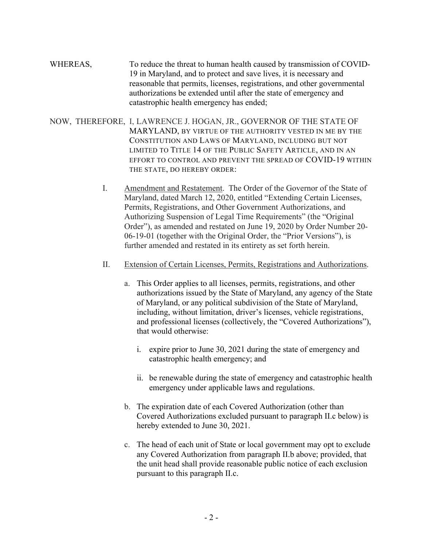- WHEREAS, To reduce the threat to human health caused by transmission of COVID-19 in Maryland, and to protect and save lives, it is necessary and reasonable that permits, licenses, registrations, and other governmental authorizations be extended until after the state of emergency and catastrophic health emergency has ended;
- NOW, THEREFORE, I, LAWRENCE J. HOGAN, JR., GOVERNOR OF THE STATE OF MARYLAND, BY VIRTUE OF THE AUTHORITY VESTED IN ME BY THE CONSTITUTION AND LAWS OF MARYLAND, INCLUDING BUT NOT LIMITED TO TITLE 14 OF THE PUBLIC SAFETY ARTICLE, AND IN AN EFFORT TO CONTROL AND PREVENT THE SPREAD OF COVID-19 WITHIN THE STATE, DO HEREBY ORDER:
	- I. Amendment and Restatement. The Order of the Governor of the State of Maryland, dated March 12, 2020, entitled "Extending Certain Licenses, Permits, Registrations, and Other Government Authorizations, and Authorizing Suspension of Legal Time Requirements" (the "Original Order"), as amended and restated on June 19, 2020 by Order Number 20- 06-19-01 (together with the Original Order, the "Prior Versions"), is further amended and restated in its entirety as set forth herein.
	- II. Extension of Certain Licenses, Permits, Registrations and Authorizations.
		- a. This Order applies to all licenses, permits, registrations, and other authorizations issued by the State of Maryland, any agency of the State of Maryland, or any political subdivision of the State of Maryland, including, without limitation, driver's licenses, vehicle registrations, and professional licenses (collectively, the "Covered Authorizations"), that would otherwise:
			- i. expire prior to June 30, 2021 during the state of emergency and catastrophic health emergency; and
			- ii. be renewable during the state of emergency and catastrophic health emergency under applicable laws and regulations.
		- b. The expiration date of each Covered Authorization (other than Covered Authorizations excluded pursuant to paragraph II.c below) is hereby extended to June 30, 2021.
		- c. The head of each unit of State or local government may opt to exclude any Covered Authorization from paragraph II.b above; provided, that the unit head shall provide reasonable public notice of each exclusion pursuant to this paragraph II.c.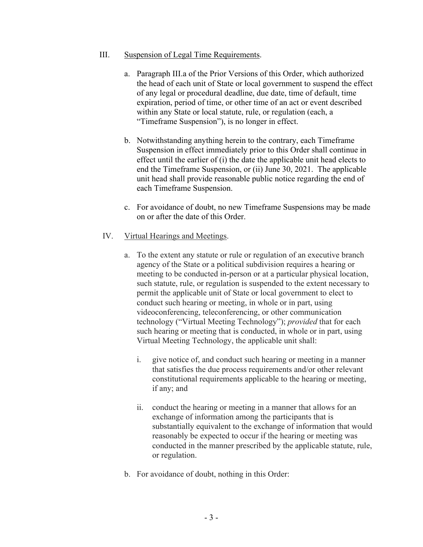## III. Suspension of Legal Time Requirements.

- a. Paragraph III.a of the Prior Versions of this Order, which authorized the head of each unit of State or local government to suspend the effect of any legal or procedural deadline, due date, time of default, time expiration, period of time, or other time of an act or event described within any State or local statute, rule, or regulation (each, a "Timeframe Suspension"), is no longer in effect.
- b. Notwithstanding anything herein to the contrary, each Timeframe Suspension in effect immediately prior to this Order shall continue in effect until the earlier of (i) the date the applicable unit head elects to end the Timeframe Suspension, or (ii) June 30, 2021. The applicable unit head shall provide reasonable public notice regarding the end of each Timeframe Suspension.
- c. For avoidance of doubt, no new Timeframe Suspensions may be made on or after the date of this Order.
- IV. Virtual Hearings and Meetings.
	- a. To the extent any statute or rule or regulation of an executive branch agency of the State or a political subdivision requires a hearing or meeting to be conducted in-person or at a particular physical location, such statute, rule, or regulation is suspended to the extent necessary to permit the applicable unit of State or local government to elect to conduct such hearing or meeting, in whole or in part, using videoconferencing, teleconferencing, or other communication technology ("Virtual Meeting Technology"); *provided* that for each such hearing or meeting that is conducted, in whole or in part, using Virtual Meeting Technology, the applicable unit shall:
		- i. give notice of, and conduct such hearing or meeting in a manner that satisfies the due process requirements and/or other relevant constitutional requirements applicable to the hearing or meeting, if any; and
		- ii. conduct the hearing or meeting in a manner that allows for an exchange of information among the participants that is substantially equivalent to the exchange of information that would reasonably be expected to occur if the hearing or meeting was conducted in the manner prescribed by the applicable statute, rule, or regulation.
	- b. For avoidance of doubt, nothing in this Order: